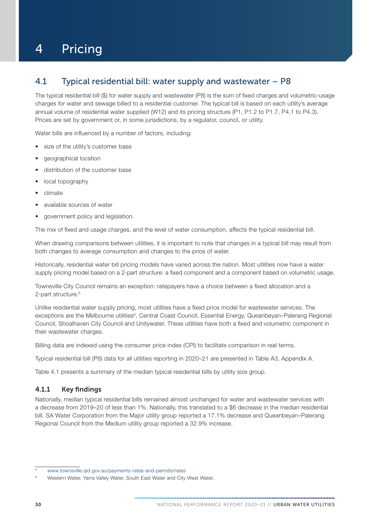# 4 Pricing

# 4.1 Typical residential bill: water supply and wastewater – P8

The typical residential bill (\$) for water supply and wastewater (P8) is the sum of fixed charges and volumetric-usage charges for water and sewage billed to a residential customer. The typical bill is based on each utility's average annual volume of residential water supplied (W12) and its pricing structure (P1, P1.2 to P1.7, P4.1 to P4.3). Prices are set by government or, in some jurisdictions, by a regulator, council, or utility.

Water bills are influenced by a number of factors, including:

- size of the utility's customer base
- geographical location
- distribution of the customer base
- local topography
- climate
- available sources of water
- government policy and legislation.

The mix of fixed and usage charges, and the level of water consumption, affects the typical residential bill.

When drawing comparisons between utilities, it is important to note that changes in a typical bill may result from both changes to average consumption and changes to the price of water.

Historically, residential water bill pricing models have varied across the nation. Most utilities now have a water supply pricing model based on a 2-part structure: a fixed component and a component based on volumetric usage.

Townsville City Council remains an exception: ratepayers have a choice between a fixed allocation and a 2-part structure.<sup>5</sup>

Unlike residential water supply pricing, most utilities have a fixed price model for wastewater services. The exceptions are the Melbourne utilities<sup>6</sup>, Central Coast Council, Essential Energy, Queanbeyan–Palerang Regional Council, Shoalhaven City Council and Unitywater. These utilities have both a fixed and volumetric component in their wastewater charges.

Billing data are indexed using the consumer price index (CPI) to facilitate comparison in real terms.

Typical residential bill (P8) data for all utilities reporting in 2020–21 are presented in [Table A3, Appendix A](#page--1-0).

[Table 4.1](#page-1-0) presents a summary of the median typical residential bills by utility size group.

### 4.1.1 Key findings

Nationally, median typical residential bills remained almost unchanged for water and wastewater services with a decrease from 2019–20 of less than 1%. Nationally, this translated to a \$6 decrease in the median residential bill. SA Water Corporation from the Major utility group reported a 17.1% decrease and Queanbeyan–Palerang Regional Council from the Medium utility group reported a 32.9% increase.

<sup>5</sup> [www.townsville.qld.gov.au/payments-rates-and-permits/rates](http://www.townsville.qld.gov.au/payments-rates-and-permits/rates)

Western Water, Yarra Valley Water, South East Water and City West Water.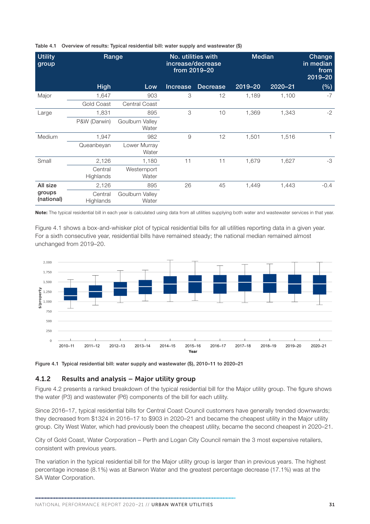| <b>Utility</b><br>group | Range                |                          | No. utilities with<br>increase/decrease<br>from 2019-20 |                 | <b>Median</b> |             | Change<br>in median<br>from<br>$2019 - 20$ |
|-------------------------|----------------------|--------------------------|---------------------------------------------------------|-----------------|---------------|-------------|--------------------------------------------|
|                         | <b>High</b>          | Low                      | <b>Increase</b>                                         | <b>Decrease</b> | 2019-20       | $2020 - 21$ | (%)                                        |
| Major                   | 1,647                | 903                      | 3                                                       | 12              | 1,189         | 1,100       | $-7$                                       |
|                         | <b>Gold Coast</b>    | <b>Central Coast</b>     |                                                         |                 |               |             |                                            |
| Large                   | 1,831                | 895                      | 3                                                       | 10              | 1,369         | 1,343       | $-2$                                       |
|                         | P&W (Darwin)         | Goulburn Valley<br>Water |                                                         |                 |               |             |                                            |
| Medium                  | 1,947                | 982                      | 9                                                       | 12              | 1,501         | 1,516       | 1                                          |
|                         | Queanbeyan           | Lower Murray<br>Water    |                                                         |                 |               |             |                                            |
| Small                   | 2,126                | 1,180                    | 11                                                      | 11              | 1,679         | 1,627       | $-3$                                       |
|                         | Central<br>Highlands | Westernport<br>Water     |                                                         |                 |               |             |                                            |
| All size                | 2,126                | 895                      | 26                                                      | 45              | 1,449         | 1,443       | $-0.4$                                     |
| groups<br>(national)    | Central<br>Highlands | Goulburn Valley<br>Water |                                                         |                 |               |             |                                            |

#### <span id="page-1-0"></span>Table 4.1 Overview of results: Typical residential bill: water supply and wastewater (\$)

Note: The typical residential bill in each year is calculated using data from all utilities supplying both water and wastewater services in that year.

Figure 4.1 shows a box-and-whisker plot of typical residential bills for all utilities reporting data in a given year. For a sixth consecutive year, residential bills have remained steady; the national median remained almost unchanged from 2019–20.



Figure 4.1 Typical residential bill: water supply and wastewater (\$), 2010–11 to 2020–21

#### 4.1.2 Results and analysis – Major utility group

[Figure 4.2](#page-2-0) presents a ranked breakdown of the typical residential bill for the Major utility group. The figure shows the water (P3) and wastewater (P6) components of the bill for each utility.

Since 2016–17, typical residential bills for Central Coast Council customers have generally trended downwards; they decreased from \$1324 in 2016–17 to \$903 in 2020–21 and became the cheapest utility in the Major utility group. City West Water, which had previously been the cheapest utility, became the second cheapest in 2020–21.

City of Gold Coast, Water Corporation – Perth and Logan City Council remain the 3 most expensive retailers, consistent with previous years.

The variation in the typical residential bill for the Major utility group is larger than in previous years. The highest percentage increase (8.1%) was at Barwon Water and the greatest percentage decrease (17.1%) was at the SA Water Corporation.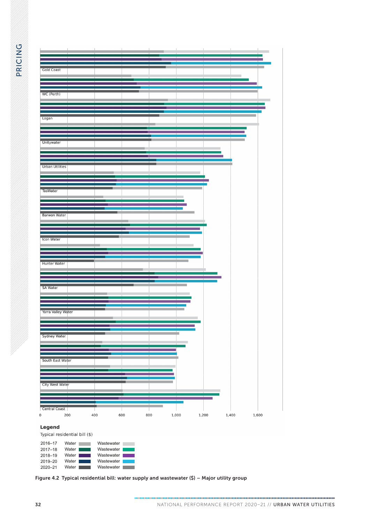<span id="page-2-0"></span>

| <b>Gold Coast</b>                                                                                                     |                                                                      |              |       |                |
|-----------------------------------------------------------------------------------------------------------------------|----------------------------------------------------------------------|--------------|-------|----------------|
| WC (Perth)                                                                                                            |                                                                      |              |       |                |
| Logan                                                                                                                 |                                                                      |              |       |                |
| Unitywater                                                                                                            |                                                                      |              |       |                |
| <b>Urban Utilities</b>                                                                                                |                                                                      |              |       |                |
| <b>TasWater</b>                                                                                                       |                                                                      |              |       |                |
| <b>Barwon Water</b>                                                                                                   |                                                                      |              |       |                |
| Icon Water                                                                                                            |                                                                      |              |       |                |
| <b>Hunter Water</b><br><b>SA Water</b>                                                                                |                                                                      |              |       |                |
| <b>Yarra Valley Water</b>                                                                                             |                                                                      |              |       |                |
| Sydney Water                                                                                                          |                                                                      |              |       |                |
| <b>South East Water</b>                                                                                               |                                                                      |              |       |                |
| <b>City West Water</b>                                                                                                |                                                                      |              |       |                |
| Central Coast<br>200                                                                                                  | 400<br>600                                                           | 800<br>1,000 | 1,200 | 1,600<br>1,400 |
| Legend<br>Typical residential bill (\$)                                                                               |                                                                      |              |       |                |
| 2016-17<br>Water L<br>$2017 - 18$<br>Water  <br>2018-19<br>Water  <br>2019-20<br>Water  <br>Water <b>I</b><br>2020-21 | Wastewater<br>Wastewater<br>Wastewater  <br>Wastewater<br>Wastewater |              |       |                |

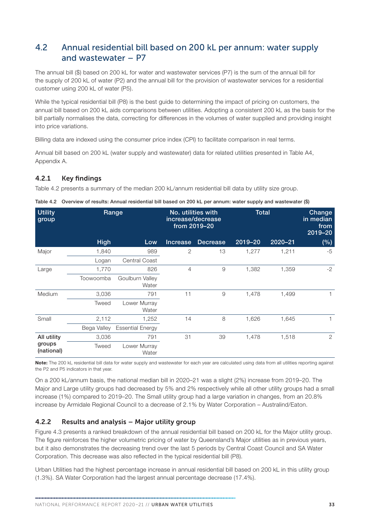# 4.2 Annual residential bill based on 200 kL per annum: water supply and wastewater – P7

The annual bill (\$) based on 200 kL for water and wastewater services (P7) is the sum of the annual bill for the supply of 200 kL of water (P2) and the annual bill for the provision of wastewater services for a residential customer using 200 kL of water (P5).

While the typical residential bill (P8) is the best quide to determining the impact of pricing on customers, the annual bill based on 200 kL aids comparisons between utilities. Adopting a consistent 200 kL as the basis for the bill partially normalises the data, correcting for differences in the volumes of water supplied and providing insight into price variations.

Billing data are indexed using the consumer price index (CPI) to facilitate comparison in real terms.

Annual bill based on 200 kL (water supply and wastewater) data for related utilities presented in [Table A4,](#page--1-0)  [Appendix A.](#page--1-0)

## 4.2.1 Key findings

Table 4.2 presents a summary of the median 200 kL/annum residential bill data by utility size group.

| <b>Utility</b><br>group |             | Range                    | No. utilities with<br>increase/decrease<br>from 2019-20 |                 | <b>Total</b> |             | <b>Change</b><br>in median<br>from<br>2019-20 |
|-------------------------|-------------|--------------------------|---------------------------------------------------------|-----------------|--------------|-------------|-----------------------------------------------|
|                         | <b>High</b> | Low                      | <b>Increase</b>                                         | <b>Decrease</b> | 2019-20      | $2020 - 21$ | (%)                                           |
| Major                   | 1,840       | 989                      | 2                                                       | 13              | 1,277        | 1,211       | $-5$                                          |
|                         | Logan       | <b>Central Coast</b>     |                                                         |                 |              |             |                                               |
| Large                   | 1,770       | 826                      | $\overline{4}$                                          | 9               | 1,382        | 1,359       | $-2$                                          |
|                         | Toowoomba   | Goulburn Valley<br>Water |                                                         |                 |              |             |                                               |
| Medium                  | 3,036       | 791                      | 11                                                      | 9               | 1,478        | 1,499       |                                               |
|                         | Tweed       | Lower Murray<br>Water    |                                                         |                 |              |             |                                               |
| Small                   | 2,112       | 1,252                    | 14                                                      | 8               | 1,626        | 1,645       |                                               |
|                         | Bega Valley | <b>Essential Energy</b>  |                                                         |                 |              |             |                                               |
| All utility             | 3,036       | 791                      | 31                                                      | 39              | 1,478        | 1,518       | 2                                             |
| groups<br>(national)    | Tweed       | Lower Murray<br>Water    |                                                         |                 |              |             |                                               |

| Table 4.2 Overview of results: Annual residential bill based on 200 kL per annum: water supply and wastewater (\$) |  |
|--------------------------------------------------------------------------------------------------------------------|--|

Note: The 200 kL residential bill data for water supply and wastewater for each year are calculated using data from all utilities reporting against the P2 and P5 indicators in that year.

On a 200 kL/annum basis, the national median bill in 2020–21 was a slight (2%) increase from 2019–20. The Major and Large utility groups had decreased by 5% and 2% respectively while all other utility groups had a small increase (1%) compared to 2019–20. The Small utility group had a large variation in changes, from an 20.8% increase by Armidale Regional Council to a decrease of 2.1% by Water Corporation – Australind/Eaton.

## 4.2.2 Results and analysis – Major utility group

[Figure 4.3](#page-4-0) presents a ranked breakdown of the annual residential bill based on 200 kL for the Major utility group. The figure reinforces the higher volumetric pricing of water by Queensland's Major utilities as in previous years, but it also demonstrates the decreasing trend over the last 5 periods by Central Coast Council and SA Water Corporation. This decrease was also reflected in the typical residential bill (P8).

Urban Utilities had the highest percentage increase in annual residential bill based on 200 kL in this utility group (1.3%). SA Water Corporation had the largest annual percentage decrease (17.4%).